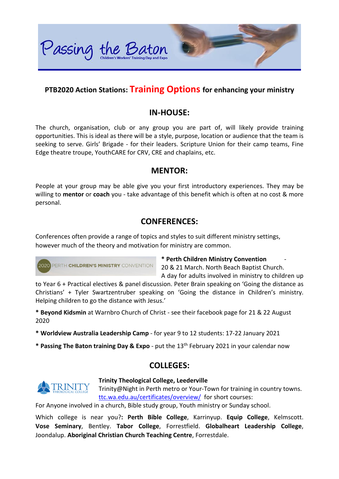

## **PTB2020 Action Stations: Training Options for enhancing your ministry**

#### **IN-HOUSE:**

The church, organisation, club or any group you are part of, will likely provide training opportunities. This is ideal as there will be a style, purpose, location or audience that the team is seeking to serve. Girls' Brigade - for their leaders. Scripture Union for their camp teams, Fine Edge theatre troupe, YouthCARE for CRV, CRE and chaplains, etc.

#### **MENTOR:**

People at your group may be able give you your first introductory experiences. They may be willing to **mentor** or **coach** you - take advantage of this benefit which is often at no cost & more personal.

## **CONFERENCES:**

Conferences often provide a range of topics and styles to suit different ministry settings, however much of the theory and motivation for ministry are common.



**\* Perth Children Ministry Convention** - 20 & 21 March. North Beach Baptist Church.

A day for adults involved in ministry to children up to Year 6 + Practical electives & panel discussion. Peter Brain speaking on 'Going the distance as Christians' + Tyler Swartzentruber speaking on 'Going the distance in Children's ministry. Helping children to go the distance with Jesus.'

**\* Beyond Kidsmin** at Warnbro Church of Christ - see their facebook page for 21 & 22 August 2020

**\* Worldview Australia Leadership Camp** - for year 9 to 12 students: 17-22 January 2021

**\* Passing The Baton training Day & Expo** - put the 13th February 2021 in your calendar now

## **COLLEGES:**



#### **Trinity Theological College, Leederville**

Trinity@Night in Perth metro or Your-Town for training in country towns. [ttc.wa.edu.au/certificates/overview/](https://ttc.wa.edu.au/certificates/overview/) for short courses:

For Anyone involved in a church, Bible study group, Youth ministry or Sunday school.

Which college is near you?**: Perth Bible College**, Karrinyup. **Equip College**, Kelmscott. **Vose Seminary**, Bentley. **Tabor College**, Forrestfield. **Globalheart Leadership College**, Joondalup. **Aboriginal Christian Church Teaching Centre**, Forrestdale.